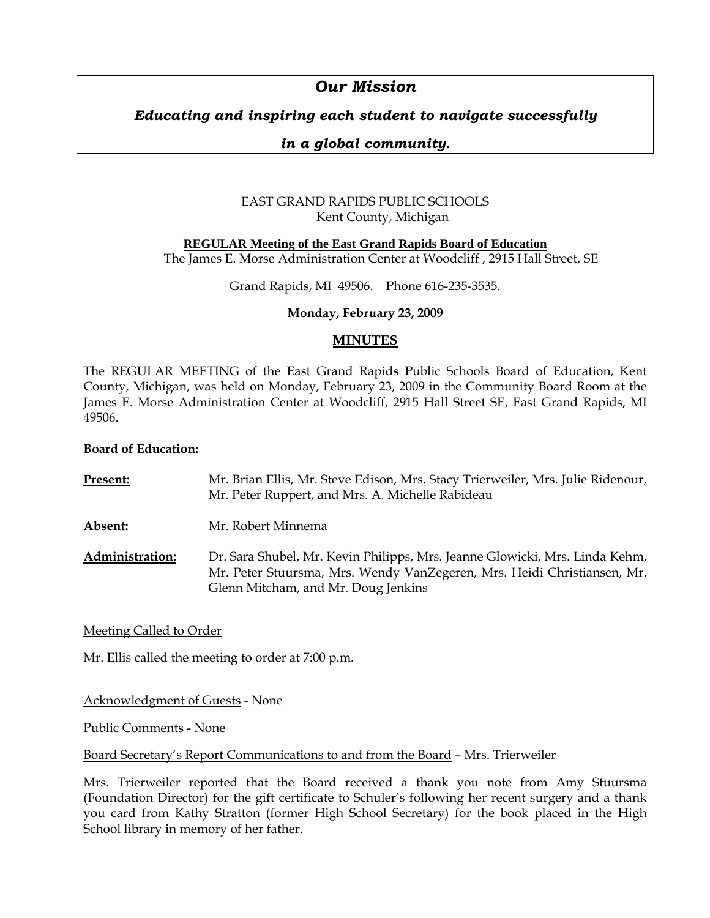# *Our Mission*

## *Educating and inspiring each student to navigate successfully*

## *in a global community.*

## EAST GRAND RAPIDS PUBLIC SCHOOLS Kent County, Michigan

## **REGULAR Meeting of the East Grand Rapids Board of Education**

The James E. Morse Administration Center at Woodcliff , 2915 Hall Street, SE

Grand Rapids, MI 49506. Phone 616-235-3535.

## **Monday, February 23, 2009**

## **MINUTES**

The REGULAR MEETING of the East Grand Rapids Public Schools Board of Education, Kent County, Michigan, was held on Monday, February 23, 2009 in the Community Board Room at the James E. Morse Administration Center at Woodcliff, 2915 Hall Street SE, East Grand Rapids, MI 49506.

#### **Board of Education:**

| Present:               | Mr. Brian Ellis, Mr. Steve Edison, Mrs. Stacy Trierweiler, Mrs. Julie Ridenour,<br>Mr. Peter Ruppert, and Mrs. A. Michelle Rabideau                                                           |
|------------------------|-----------------------------------------------------------------------------------------------------------------------------------------------------------------------------------------------|
| Absent:                | Mr. Robert Minnema                                                                                                                                                                            |
| <b>Administration:</b> | Dr. Sara Shubel, Mr. Kevin Philipps, Mrs. Jeanne Glowicki, Mrs. Linda Kehm,<br>Mr. Peter Stuursma, Mrs. Wendy VanZegeren, Mrs. Heidi Christiansen, Mr.<br>Glenn Mitcham, and Mr. Doug Jenkins |

Meeting Called to Order

Mr. Ellis called the meeting to order at 7:00 p.m.

Acknowledgment of Guests - None

Public Comments - None

Board Secretary's Report Communications to and from the Board – Mrs. Trierweiler

Mrs. Trierweiler reported that the Board received a thank you note from Amy Stuursma (Foundation Director) for the gift certificate to Schuler's following her recent surgery and a thank you card from Kathy Stratton (former High School Secretary) for the book placed in the High School library in memory of her father.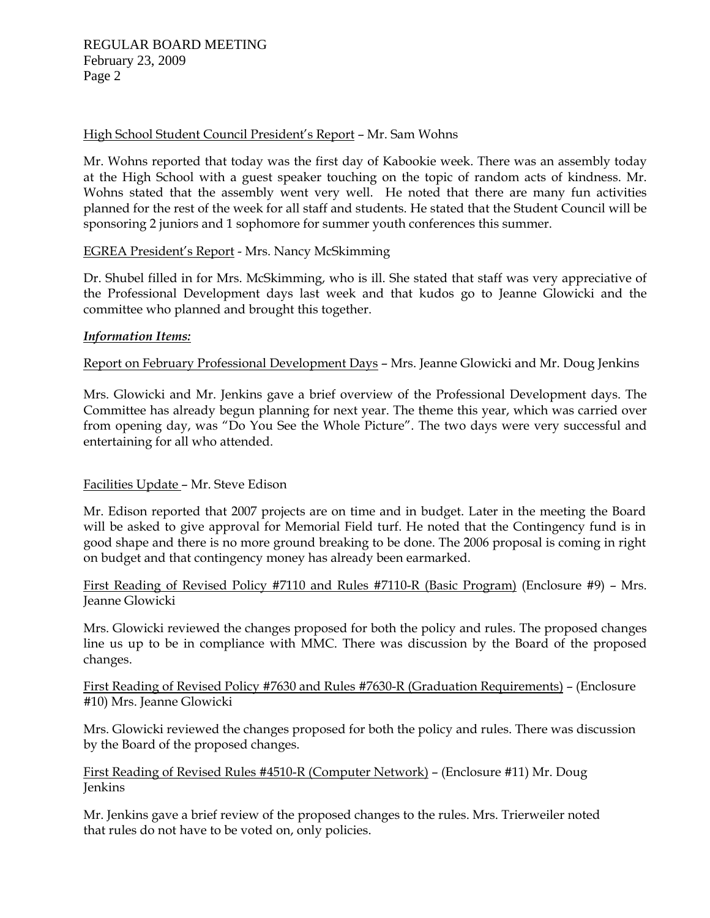#### High School Student Council President's Report – Mr. Sam Wohns

Mr. Wohns reported that today was the first day of Kabookie week. There was an assembly today at the High School with a guest speaker touching on the topic of random acts of kindness. Mr. Wohns stated that the assembly went very well. He noted that there are many fun activities planned for the rest of the week for all staff and students. He stated that the Student Council will be sponsoring 2 juniors and 1 sophomore for summer youth conferences this summer.

## EGREA President's Report - Mrs. Nancy McSkimming

Dr. Shubel filled in for Mrs. McSkimming, who is ill. She stated that staff was very appreciative of the Professional Development days last week and that kudos go to Jeanne Glowicki and the committee who planned and brought this together.

#### *Information Items:*

Report on February Professional Development Days – Mrs. Jeanne Glowicki and Mr. Doug Jenkins

Mrs. Glowicki and Mr. Jenkins gave a brief overview of the Professional Development days. The Committee has already begun planning for next year. The theme this year, which was carried over from opening day, was "Do You See the Whole Picture". The two days were very successful and entertaining for all who attended.

## Facilities Update – Mr. Steve Edison

Mr. Edison reported that 2007 projects are on time and in budget. Later in the meeting the Board will be asked to give approval for Memorial Field turf. He noted that the Contingency fund is in good shape and there is no more ground breaking to be done. The 2006 proposal is coming in right on budget and that contingency money has already been earmarked.

First Reading of Revised Policy #7110 and Rules #7110-R (Basic Program) (Enclosure #9) – Mrs. Jeanne Glowicki

Mrs. Glowicki reviewed the changes proposed for both the policy and rules. The proposed changes line us up to be in compliance with MMC. There was discussion by the Board of the proposed changes.

First Reading of Revised Policy #7630 and Rules #7630-R (Graduation Requirements) – (Enclosure #10) Mrs. Jeanne Glowicki

Mrs. Glowicki reviewed the changes proposed for both the policy and rules. There was discussion by the Board of the proposed changes.

First Reading of Revised Rules #4510-R (Computer Network) – (Enclosure #11) Mr. Doug Jenkins

Mr. Jenkins gave a brief review of the proposed changes to the rules. Mrs. Trierweiler noted that rules do not have to be voted on, only policies.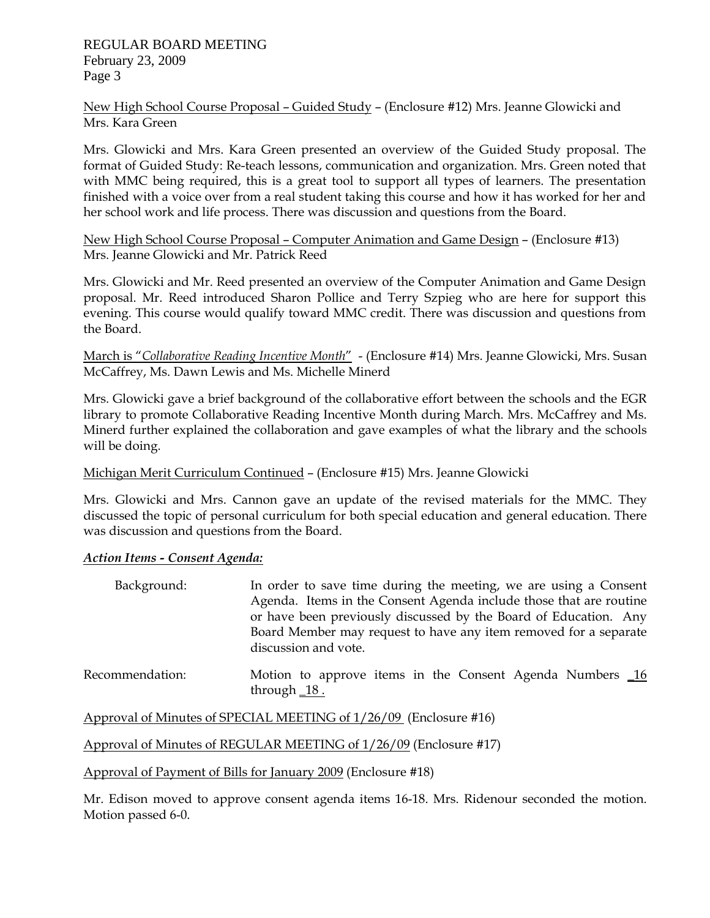New High School Course Proposal – Guided Study – (Enclosure #12) Mrs. Jeanne Glowicki and Mrs. Kara Green

Mrs. Glowicki and Mrs. Kara Green presented an overview of the Guided Study proposal. The format of Guided Study: Re-teach lessons, communication and organization. Mrs. Green noted that with MMC being required, this is a great tool to support all types of learners. The presentation finished with a voice over from a real student taking this course and how it has worked for her and her school work and life process. There was discussion and questions from the Board.

New High School Course Proposal – Computer Animation and Game Design – (Enclosure #13) Mrs. Jeanne Glowicki and Mr. Patrick Reed

Mrs. Glowicki and Mr. Reed presented an overview of the Computer Animation and Game Design proposal. Mr. Reed introduced Sharon Pollice and Terry Szpieg who are here for support this evening. This course would qualify toward MMC credit. There was discussion and questions from the Board.

March is "*Collaborative Reading Incentive Month*" - (Enclosure #14) Mrs. Jeanne Glowicki, Mrs. Susan McCaffrey, Ms. Dawn Lewis and Ms. Michelle Minerd

Mrs. Glowicki gave a brief background of the collaborative effort between the schools and the EGR library to promote Collaborative Reading Incentive Month during March. Mrs. McCaffrey and Ms. Minerd further explained the collaboration and gave examples of what the library and the schools will be doing.

## Michigan Merit Curriculum Continued – (Enclosure #15) Mrs. Jeanne Glowicki

Mrs. Glowicki and Mrs. Cannon gave an update of the revised materials for the MMC. They discussed the topic of personal curriculum for both special education and general education. There was discussion and questions from the Board.

## *Action Items - Consent Agenda:*

| Background:     | In order to save time during the meeting, we are using a Consent<br>Agenda. Items in the Consent Agenda include those that are routine<br>or have been previously discussed by the Board of Education. Any<br>Board Member may request to have any item removed for a separate<br>discussion and vote. |
|-----------------|--------------------------------------------------------------------------------------------------------------------------------------------------------------------------------------------------------------------------------------------------------------------------------------------------------|
| Recommendation: | Motion to approve items in the Consent Agenda Numbers _16<br>through $18$ .                                                                                                                                                                                                                            |

Approval of Minutes of SPECIAL MEETING of 1/26/09 (Enclosure #16)

Approval of Minutes of REGULAR MEETING of 1/26/09 (Enclosure #17)

Approval of Payment of Bills for January 2009 (Enclosure #18)

Mr. Edison moved to approve consent agenda items 16-18. Mrs. Ridenour seconded the motion. Motion passed 6-0.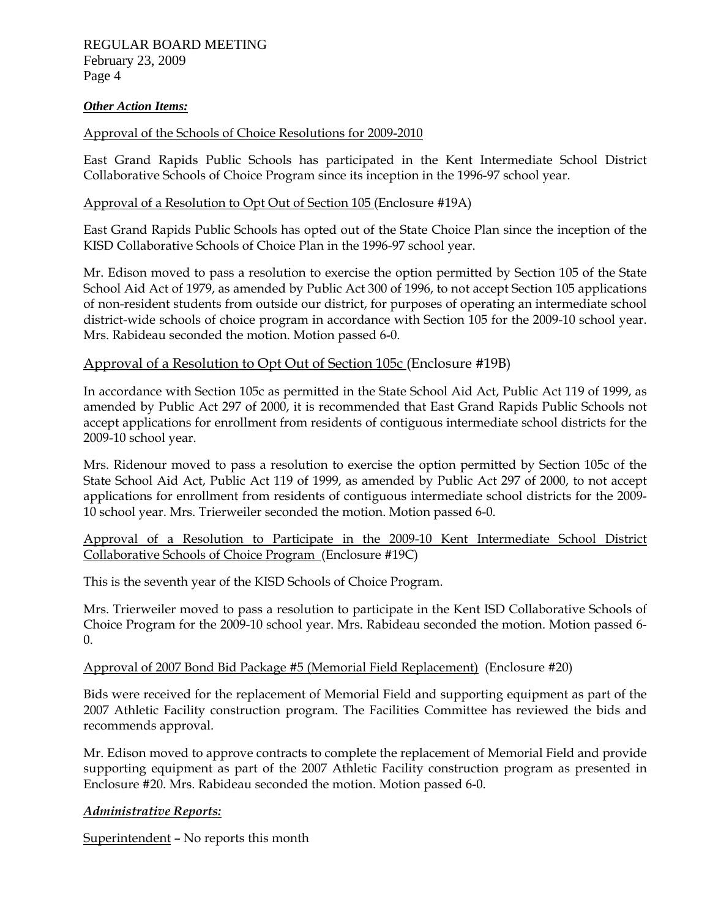#### *Other Action Items:*

#### Approval of the Schools of Choice Resolutions for 2009-2010

East Grand Rapids Public Schools has participated in the Kent Intermediate School District Collaborative Schools of Choice Program since its inception in the 1996-97 school year.

#### Approval of a Resolution to Opt Out of Section 105 (Enclosure #19A)

East Grand Rapids Public Schools has opted out of the State Choice Plan since the inception of the KISD Collaborative Schools of Choice Plan in the 1996-97 school year.

Mr. Edison moved to pass a resolution to exercise the option permitted by Section 105 of the State School Aid Act of 1979, as amended by Public Act 300 of 1996, to not accept Section 105 applications of non-resident students from outside our district, for purposes of operating an intermediate school district-wide schools of choice program in accordance with Section 105 for the 2009-10 school year. Mrs. Rabideau seconded the motion. Motion passed 6-0.

#### Approval of a Resolution to Opt Out of Section 105c (Enclosure #19B)

In accordance with Section 105c as permitted in the State School Aid Act, Public Act 119 of 1999, as amended by Public Act 297 of 2000, it is recommended that East Grand Rapids Public Schools not accept applications for enrollment from residents of contiguous intermediate school districts for the 2009-10 school year.

Mrs. Ridenour moved to pass a resolution to exercise the option permitted by Section 105c of the State School Aid Act, Public Act 119 of 1999, as amended by Public Act 297 of 2000, to not accept applications for enrollment from residents of contiguous intermediate school districts for the 2009- 10 school year. Mrs. Trierweiler seconded the motion. Motion passed 6-0.

#### Approval of a Resolution to Participate in the 2009-10 Kent Intermediate School District Collaborative Schools of Choice Program (Enclosure #19C)

This is the seventh year of the KISD Schools of Choice Program.

Mrs. Trierweiler moved to pass a resolution to participate in the Kent ISD Collaborative Schools of Choice Program for the 2009-10 school year. Mrs. Rabideau seconded the motion. Motion passed 6-  $\Omega$ 

#### Approval of 2007 Bond Bid Package #5 (Memorial Field Replacement) (Enclosure #20)

Bids were received for the replacement of Memorial Field and supporting equipment as part of the 2007 Athletic Facility construction program. The Facilities Committee has reviewed the bids and recommends approval.

Mr. Edison moved to approve contracts to complete the replacement of Memorial Field and provide supporting equipment as part of the 2007 Athletic Facility construction program as presented in Enclosure #20. Mrs. Rabideau seconded the motion. Motion passed 6-0.

#### *Administrative Reports:*

Superintendent – No reports this month